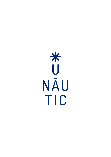